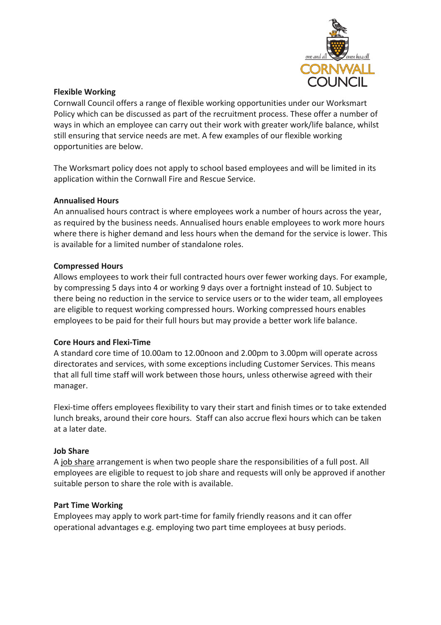

## **Flexible Working**

Cornwall Council offers a range of flexible working opportunities under our Worksmart Policy which can be discussed as part of the recruitment process. These offer a number of ways in which an employee can carry out their work with greater work/life balance, whilst still ensuring that service needs are met. A few examples of our flexible working opportunities are below.

The Worksmart policy does not apply to school based employees and will be limited in its application within the Cornwall Fire and Rescue Service.

# **Annualised Hours**

An annualised hours contract is where employees work a number of hours across the year, as required by the business needs. Annualised hours enable employees to work more hours where there is higher demand and less hours when the demand for the service is lower. This is available for a limited number of standalone roles.

# **Compressed Hours**

Allows employees to work their full contracted hours over fewer working days. For example, by compressing 5 days into 4 or working 9 days over a fortnight instead of 10. Subject to there being no reduction in the service to service users or to the wider team, all employees are eligible to request working compressed hours. Working compressed hours enables employees to be paid for their full hours but may provide a better work life balance.

### **Core Hours and Flexi-Time**

A standard core time of 10.00am to 12.00noon and 2.00pm to 3.00pm will operate across directorates and services, with some exceptions including Customer Services. This means that all full time staff will work between those hours, unless otherwise agreed with their manager.

Flexi-time offers employees flexibility to vary their start and finish times or to take extended lunch breaks, around their core hours. Staff can also accrue flexi hours which can be taken at a later date.

### **Job Share**

A job share arrangement is when two people share the responsibilities of a full post. All employees are eligible to request to job share and requests will only be approved if another suitable person to share the role with is available.

### **Part Time Working**

Employees may apply to work part-time for family friendly reasons and it can offer operational advantages e.g. employing two part time employees at busy periods.